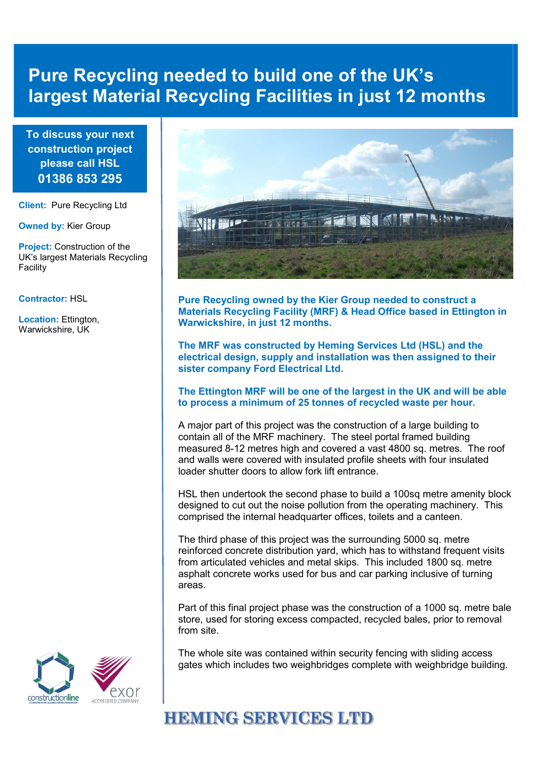# **Pure Recycling needed to build one of the UK's largest Material Recycling Facilities in just 12 months**

**To discuss your next construction project please call HSL 01386 853 295**

**Client:** Pure Recycling Ltd

**Owned by:** Kier Group

**Project:** Construction of the UK's largest Materials Recycling Facility

#### **Contractor:** HSL

**Location:** Ettington, Warwickshire, UK



**Pure Recycling owned by the Kier Group needed to construct a Materials Recycling Facility (MRF) & Head Office based in Ettington in Warwickshire, in just 12 months.** 

**The MRF was constructed by Heming Services Ltd (HSL) and the electrical design, supply and installation was then assigned to their sister company Ford Electrical Ltd.** 

#### **The Ettington MRF will be one of the largest in the UK and will be able to process a minimum of 25 tonnes of recycled waste per hour.**

A major part of this project was the construction of a large building to contain all of the MRF machinery. The steel portal framed building measured 8-12 metres high and covered a vast 4800 sq. metres. The roof and walls were covered with insulated profile sheets with four insulated loader shutter doors to allow fork lift entrance.

HSL then undertook the second phase to build a 100sq metre amenity block designed to cut out the noise pollution from the operating machinery. This comprised the internal headquarter offices, toilets and a canteen.

The third phase of this project was the surrounding 5000 sq. metre reinforced concrete distribution yard, which has to withstand frequent visits from articulated vehicles and metal skips. This included 1800 sq. metre asphalt concrete works used for bus and car parking inclusive of turning areas.

Part of this final project phase was the construction of a 1000 sq. metre bale store, used for storing excess compacted, recycled bales, prior to removal from site.

The whole site was contained within security fencing with sliding access gates which includes two weighbridges complete with weighbridge building.

# **HEMING SERVICES LTD**